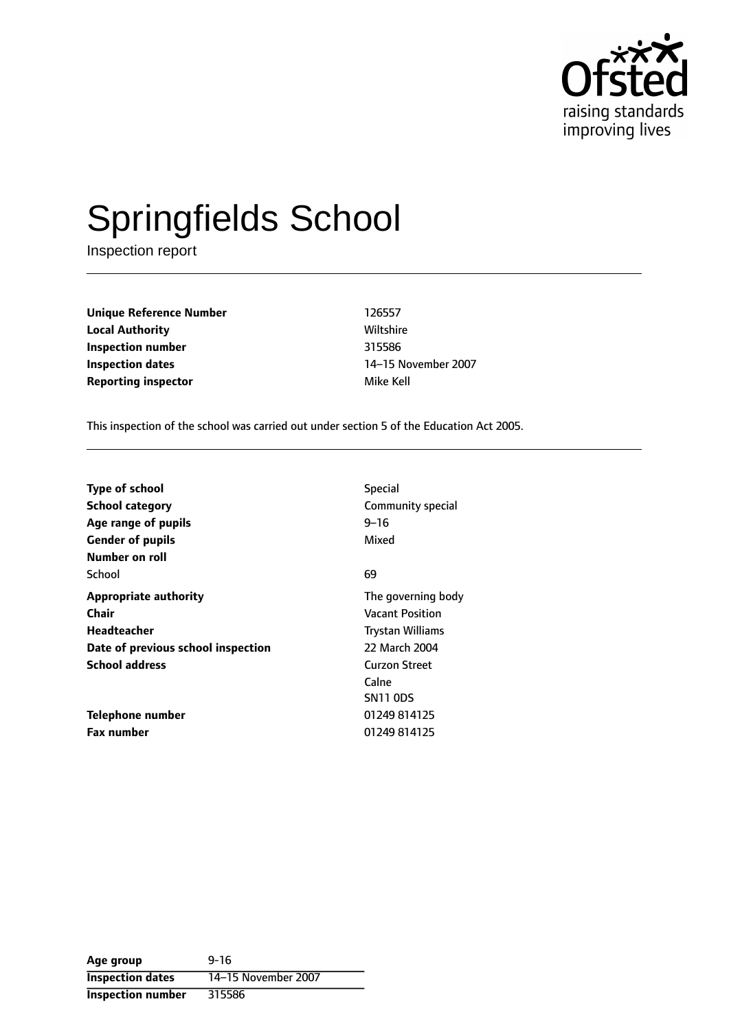

# Springfields School

Inspection report

**Unique Reference Number** 126557 **Local Authority Miltshire** Wiltshire **Inspection number** 315586 **Inspection dates** 14-15 November 2007 **Reporting inspector and a structure of the Mike Kell** 

This inspection of the school was carried out under section 5 of the Education Act 2005.

| <b>Type of school</b><br><b>School category</b><br>Age range of pupils | <b>Special</b><br>Community special<br>9–16 |
|------------------------------------------------------------------------|---------------------------------------------|
| <b>Gender of pupils</b><br>Number on roll                              | Mixed                                       |
| School                                                                 | 69                                          |
| <b>Appropriate authority</b>                                           | The governing body                          |
| Chair                                                                  | <b>Vacant Position</b>                      |
| Headteacher                                                            | Trystan Williams                            |
| Date of previous school inspection                                     | 22 March 2004                               |
| <b>School address</b>                                                  | Curzon Street                               |
|                                                                        | Calne                                       |
|                                                                        | <b>SN11 ODS</b>                             |
| Telephone number                                                       | 01249 814125                                |
| <b>Fax number</b>                                                      | 01249 814125                                |

**Age group** 9-16 **Inspection dates** 14-15 November 2007 **Inspection number** 315586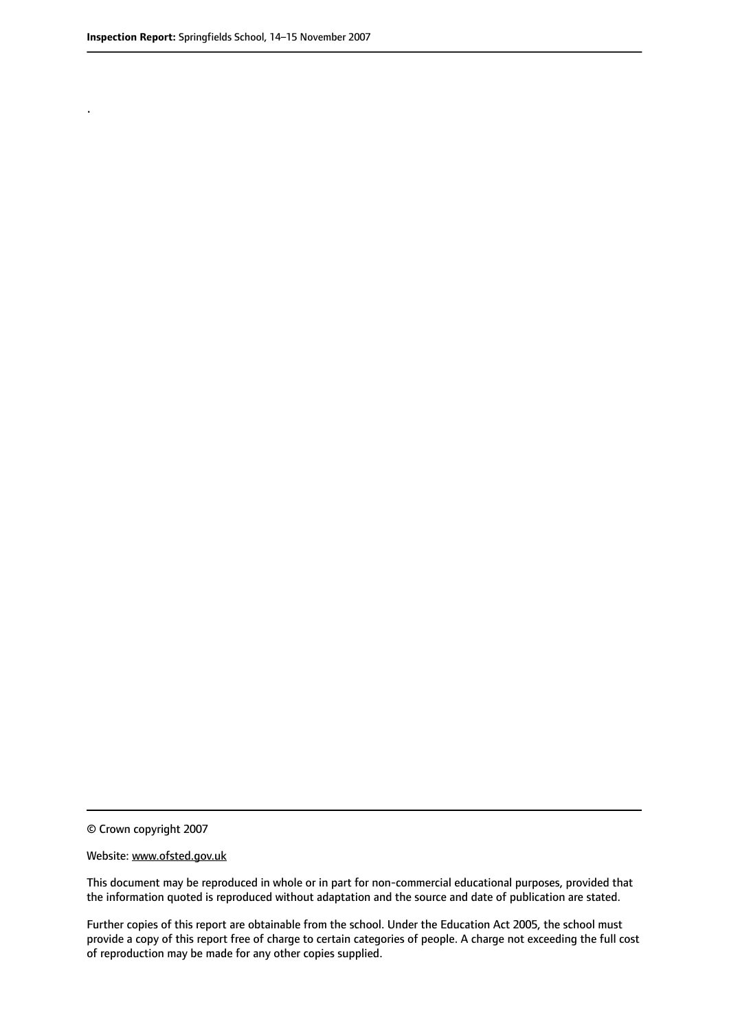.

© Crown copyright 2007

#### Website: www.ofsted.gov.uk

This document may be reproduced in whole or in part for non-commercial educational purposes, provided that the information quoted is reproduced without adaptation and the source and date of publication are stated.

Further copies of this report are obtainable from the school. Under the Education Act 2005, the school must provide a copy of this report free of charge to certain categories of people. A charge not exceeding the full cost of reproduction may be made for any other copies supplied.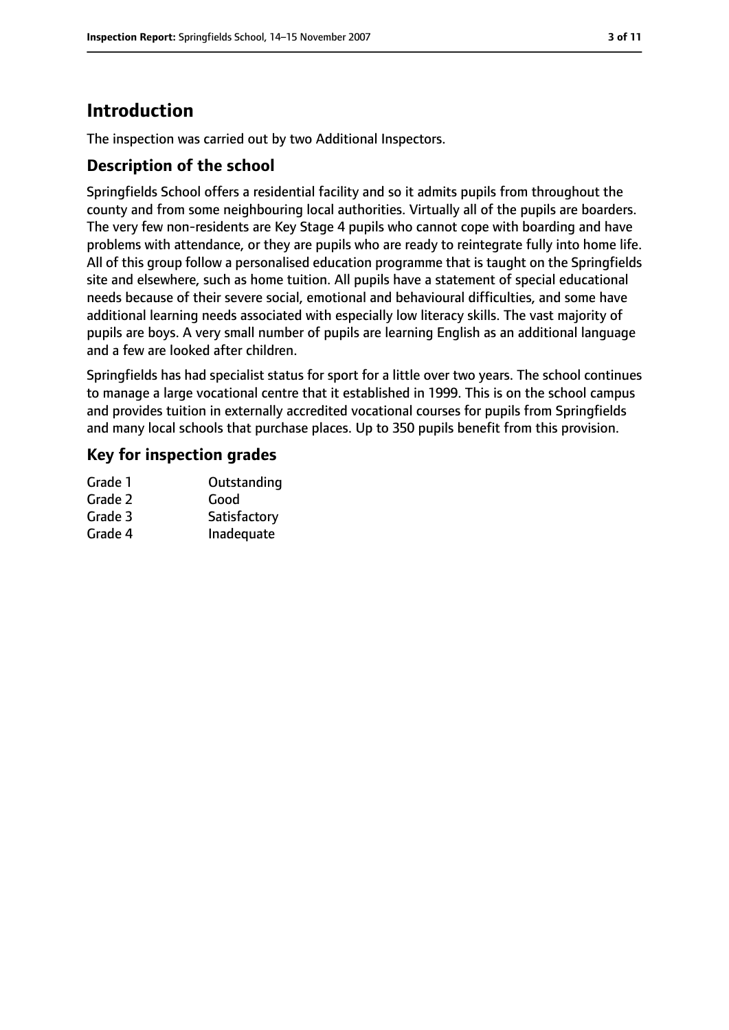# **Introduction**

The inspection was carried out by two Additional Inspectors.

# **Description of the school**

Springfields School offers a residential facility and so it admits pupils from throughout the county and from some neighbouring local authorities. Virtually all of the pupils are boarders. The very few non-residents are Key Stage 4 pupils who cannot cope with boarding and have problems with attendance, or they are pupils who are ready to reintegrate fully into home life. All of this group follow a personalised education programme that is taught on the Springfields site and elsewhere, such as home tuition. All pupils have a statement of special educational needs because of their severe social, emotional and behavioural difficulties, and some have additional learning needs associated with especially low literacy skills. The vast majority of pupils are boys. A very small number of pupils are learning English as an additional language and a few are looked after children.

Springfields has had specialist status for sport for a little over two years. The school continues to manage a large vocational centre that it established in 1999. This is on the school campus and provides tuition in externally accredited vocational courses for pupils from Springfields and many local schools that purchase places. Up to 350 pupils benefit from this provision.

# **Key for inspection grades**

| Grade 1 | Outstanding  |
|---------|--------------|
| Grade 2 | Good         |
| Grade 3 | Satisfactory |
| Grade 4 | Inadequate   |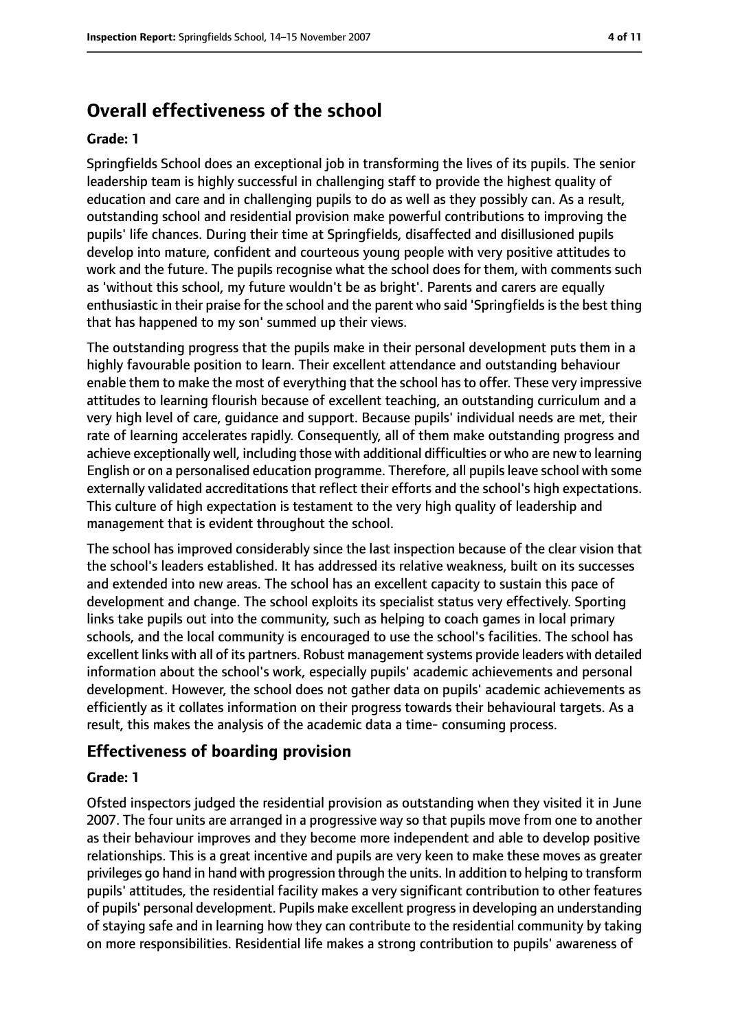# **Overall effectiveness of the school**

#### **Grade: 1**

Springfields School does an exceptional job in transforming the lives of its pupils. The senior leadership team is highly successful in challenging staff to provide the highest quality of education and care and in challenging pupils to do as well as they possibly can. As a result, outstanding school and residential provision make powerful contributions to improving the pupils' life chances. During their time at Springfields, disaffected and disillusioned pupils develop into mature, confident and courteous young people with very positive attitudes to work and the future. The pupils recognise what the school does for them, with comments such as 'without this school, my future wouldn't be as bright'. Parents and carers are equally enthusiastic in their praise for the school and the parent who said 'Springfields is the best thing that has happened to my son' summed up their views.

The outstanding progress that the pupils make in their personal development puts them in a highly favourable position to learn. Their excellent attendance and outstanding behaviour enable them to make the most of everything that the school has to offer. These very impressive attitudes to learning flourish because of excellent teaching, an outstanding curriculum and a very high level of care, guidance and support. Because pupils' individual needs are met, their rate of learning accelerates rapidly. Consequently, all of them make outstanding progress and achieve exceptionally well, including those with additional difficulties or who are new to learning English or on a personalised education programme. Therefore, all pupilsleave school with some externally validated accreditations that reflect their efforts and the school's high expectations. This culture of high expectation is testament to the very high quality of leadership and management that is evident throughout the school.

The school has improved considerably since the last inspection because of the clear vision that the school's leaders established. It has addressed its relative weakness, built on its successes and extended into new areas. The school has an excellent capacity to sustain this pace of development and change. The school exploits its specialist status very effectively. Sporting links take pupils out into the community, such as helping to coach games in local primary schools, and the local community is encouraged to use the school's facilities. The school has excellent links with all of its partners. Robust management systems provide leaders with detailed information about the school's work, especially pupils' academic achievements and personal development. However, the school does not gather data on pupils' academic achievements as efficiently as it collates information on their progress towards their behavioural targets. As a result, this makes the analysis of the academic data a time- consuming process.

## **Effectiveness of boarding provision**

#### **Grade: 1**

Ofsted inspectors judged the residential provision as outstanding when they visited it in June 2007. The four units are arranged in a progressive way so that pupils move from one to another as their behaviour improves and they become more independent and able to develop positive relationships. This is a great incentive and pupils are very keen to make these moves as greater privileges go hand in hand with progression through the units. In addition to helping to transform pupils' attitudes, the residential facility makes a very significant contribution to other features of pupils' personal development. Pupils make excellent progressin developing an understanding of staying safe and in learning how they can contribute to the residential community by taking on more responsibilities. Residential life makes a strong contribution to pupils' awareness of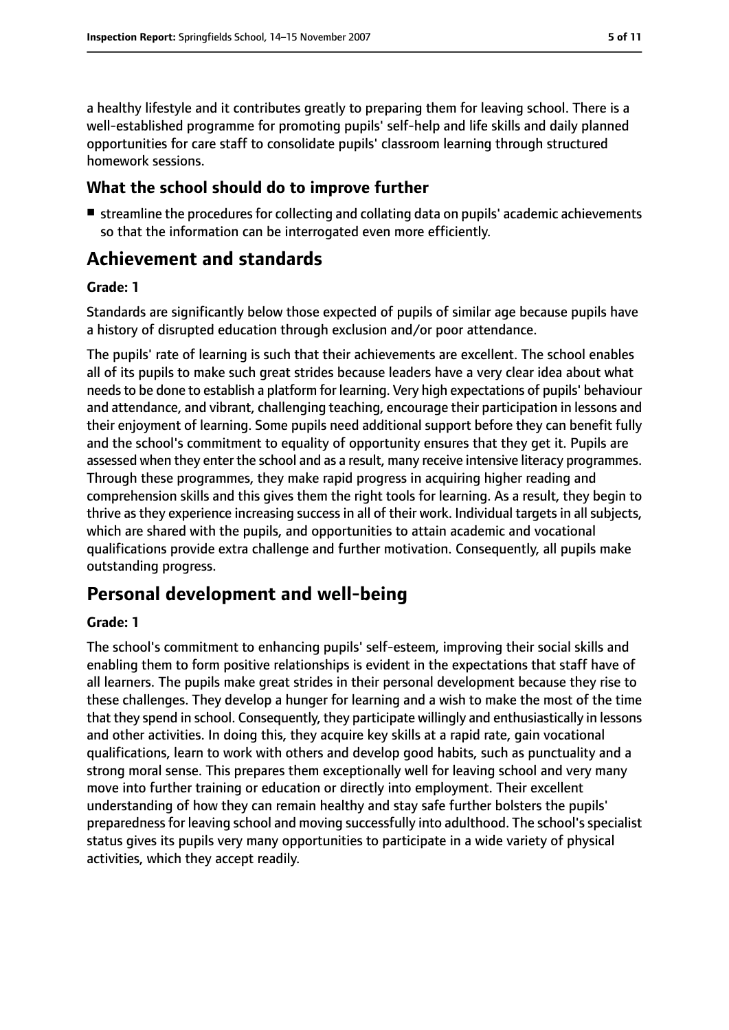a healthy lifestyle and it contributes greatly to preparing them for leaving school. There is a well-established programme for promoting pupils' self-help and life skills and daily planned opportunities for care staff to consolidate pupils' classroom learning through structured homework sessions.

## **What the school should do to improve further**

■ streamline the procedures for collecting and collating data on pupils' academic achievements so that the information can be interrogated even more efficiently.

# **Achievement and standards**

#### **Grade: 1**

Standards are significantly below those expected of pupils of similar age because pupils have a history of disrupted education through exclusion and/or poor attendance.

The pupils' rate of learning is such that their achievements are excellent. The school enables all of its pupils to make such great strides because leaders have a very clear idea about what needs to be done to establish a platform for learning. Very high expectations of pupils' behaviour and attendance, and vibrant, challenging teaching, encourage their participation in lessons and their enjoyment of learning. Some pupils need additional support before they can benefit fully and the school's commitment to equality of opportunity ensures that they get it. Pupils are assessed when they enter the school and as a result, many receive intensive literacy programmes. Through these programmes, they make rapid progress in acquiring higher reading and comprehension skills and this gives them the right tools for learning. As a result, they begin to thrive as they experience increasing success in all of their work. Individual targets in all subjects, which are shared with the pupils, and opportunities to attain academic and vocational qualifications provide extra challenge and further motivation. Consequently, all pupils make outstanding progress.

# **Personal development and well-being**

#### **Grade: 1**

The school's commitment to enhancing pupils' self-esteem, improving their social skills and enabling them to form positive relationships is evident in the expectations that staff have of all learners. The pupils make great strides in their personal development because they rise to these challenges. They develop a hunger for learning and a wish to make the most of the time that they spend in school. Consequently, they participate willingly and enthusiastically in lessons and other activities. In doing this, they acquire key skills at a rapid rate, gain vocational qualifications, learn to work with others and develop good habits, such as punctuality and a strong moral sense. This prepares them exceptionally well for leaving school and very many move into further training or education or directly into employment. Their excellent understanding of how they can remain healthy and stay safe further bolsters the pupils' preparednessfor leaving school and moving successfully into adulthood. The school'sspecialist status gives its pupils very many opportunities to participate in a wide variety of physical activities, which they accept readily.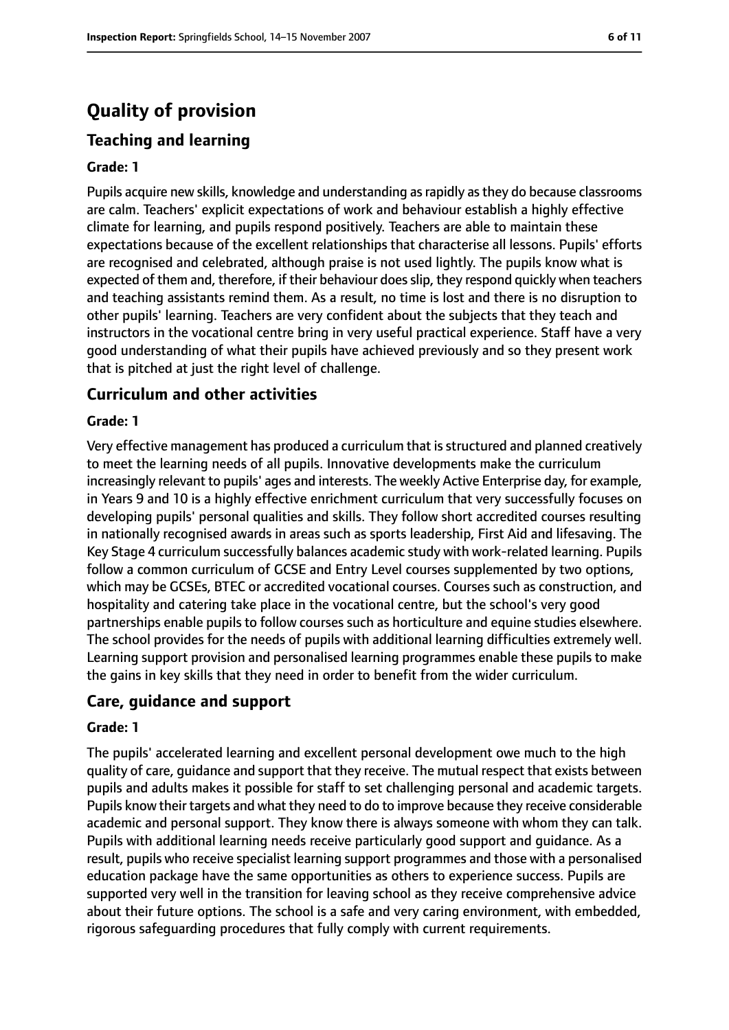# **Quality of provision**

# **Teaching and learning**

#### **Grade: 1**

Pupils acquire new skills, knowledge and understanding as rapidly as they do because classrooms are calm. Teachers' explicit expectations of work and behaviour establish a highly effective climate for learning, and pupils respond positively. Teachers are able to maintain these expectations because of the excellent relationships that characterise all lessons. Pupils' efforts are recognised and celebrated, although praise is not used lightly. The pupils know what is expected of them and, therefore, if their behaviour doesslip, they respond quickly when teachers and teaching assistants remind them. As a result, no time is lost and there is no disruption to other pupils' learning. Teachers are very confident about the subjects that they teach and instructors in the vocational centre bring in very useful practical experience. Staff have a very good understanding of what their pupils have achieved previously and so they present work that is pitched at just the right level of challenge.

## **Curriculum and other activities**

#### **Grade: 1**

Very effective management has produced a curriculum that isstructured and planned creatively to meet the learning needs of all pupils. Innovative developments make the curriculum increasingly relevant to pupils' ages and interests. The weekly Active Enterprise day, for example, in Years 9 and 10 is a highly effective enrichment curriculum that very successfully focuses on developing pupils' personal qualities and skills. They follow short accredited courses resulting in nationally recognised awards in areas such as sports leadership, First Aid and lifesaving. The Key Stage 4 curriculum successfully balances academic study with work-related learning. Pupils follow a common curriculum of GCSE and Entry Level courses supplemented by two options, which may be GCSEs, BTEC or accredited vocational courses. Courses such as construction, and hospitality and catering take place in the vocational centre, but the school's very good partnerships enable pupils to follow courses such as horticulture and equine studies elsewhere. The school provides for the needs of pupils with additional learning difficulties extremely well. Learning support provision and personalised learning programmes enable these pupils to make the gains in key skills that they need in order to benefit from the wider curriculum.

#### **Care, guidance and support**

#### **Grade: 1**

The pupils' accelerated learning and excellent personal development owe much to the high quality of care, guidance and support that they receive. The mutual respect that exists between pupils and adults makes it possible for staff to set challenging personal and academic targets. Pupils know their targets and what they need to do to improve because they receive considerable academic and personal support. They know there is always someone with whom they can talk. Pupils with additional learning needs receive particularly good support and guidance. As a result, pupils who receive specialist learning support programmes and those with a personalised education package have the same opportunities as others to experience success. Pupils are supported very well in the transition for leaving school as they receive comprehensive advice about their future options. The school is a safe and very caring environment, with embedded, rigorous safeguarding procedures that fully comply with current requirements.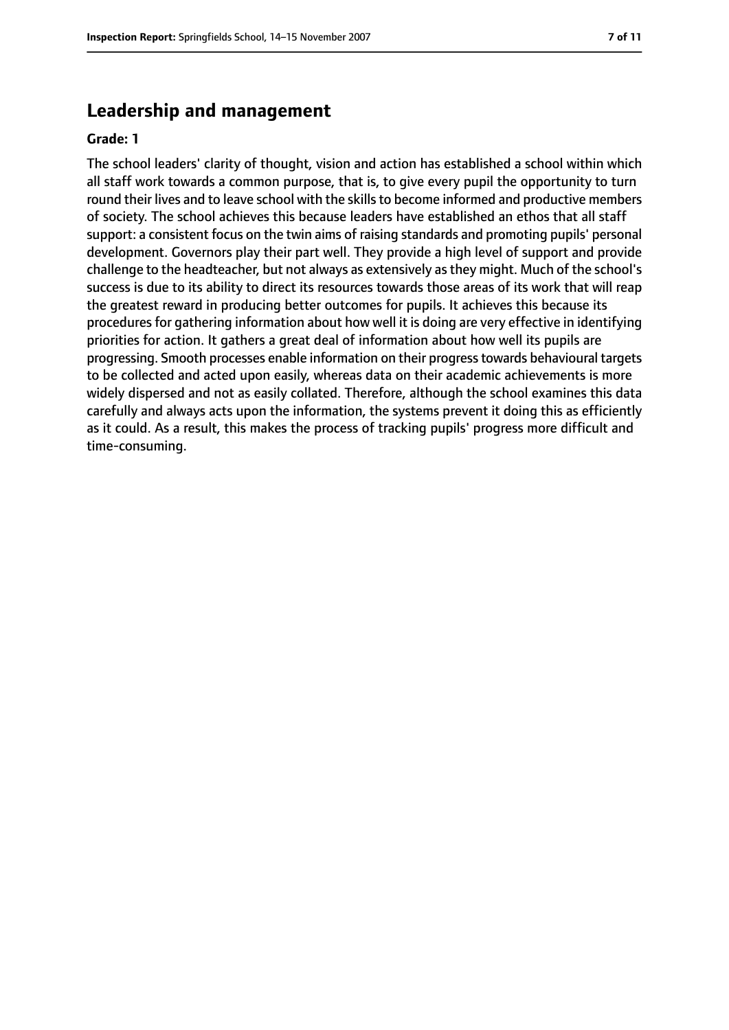# **Leadership and management**

#### **Grade: 1**

The school leaders' clarity of thought, vision and action has established a school within which all staff work towards a common purpose, that is, to give every pupil the opportunity to turn round their lives and to leave school with the skills to become informed and productive members of society. The school achieves this because leaders have established an ethos that all staff support: a consistent focus on the twin aims of raising standards and promoting pupils' personal development. Governors play their part well. They provide a high level of support and provide challenge to the headteacher, but not always as extensively asthey might. Much of the school's success is due to its ability to direct its resources towards those areas of its work that will reap the greatest reward in producing better outcomes for pupils. It achieves this because its procedures for gathering information about how well it is doing are very effective in identifying priorities for action. It gathers a great deal of information about how well its pupils are progressing. Smooth processes enable information on their progresstowards behavioural targets to be collected and acted upon easily, whereas data on their academic achievements is more widely dispersed and not as easily collated. Therefore, although the school examines this data carefully and always acts upon the information, the systems prevent it doing this as efficiently as it could. As a result, this makes the process of tracking pupils' progress more difficult and time-consuming.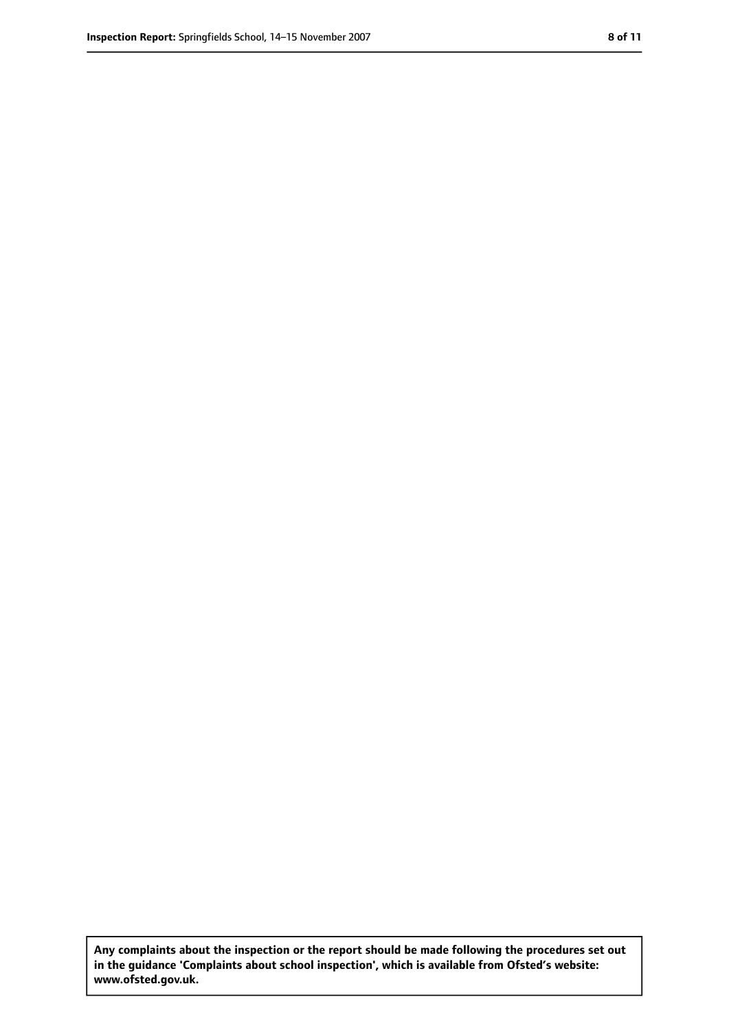**Any complaints about the inspection or the report should be made following the procedures set out in the guidance 'Complaints about school inspection', which is available from Ofsted's website: www.ofsted.gov.uk.**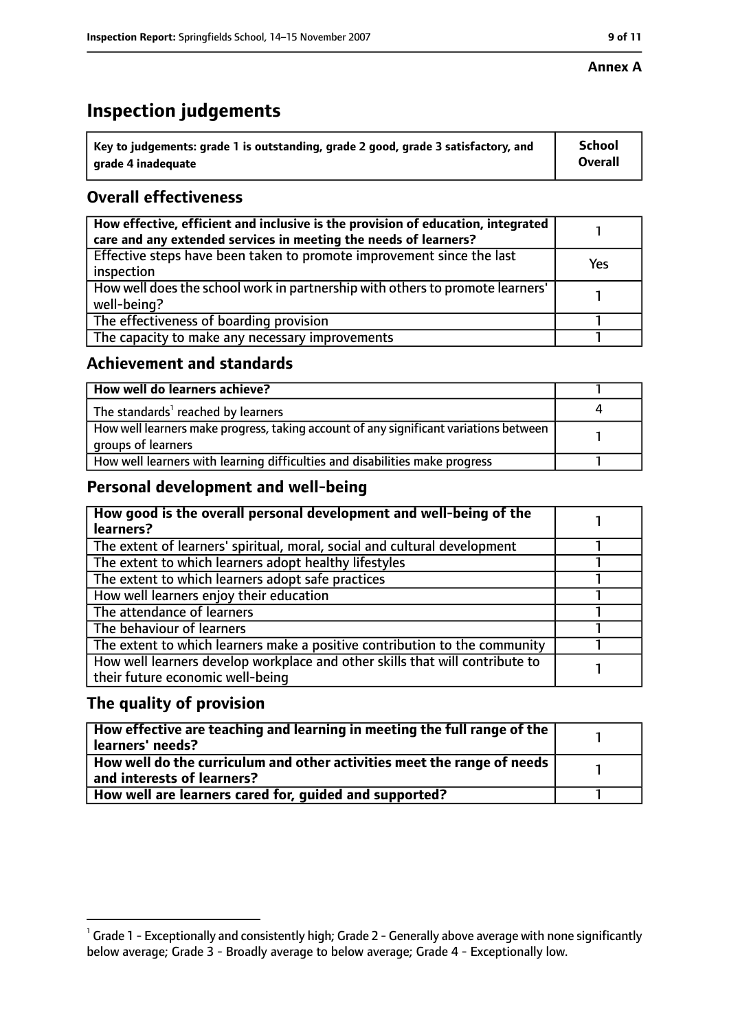#### **Annex A**

# **Inspection judgements**

| $^{\backprime}$ Key to judgements: grade 1 is outstanding, grade 2 good, grade 3 satisfactory, and | <b>School</b>  |
|----------------------------------------------------------------------------------------------------|----------------|
| arade 4 inadequate                                                                                 | <b>Overall</b> |

# **Overall effectiveness**

| How effective, efficient and inclusive is the provision of education, integrated<br>care and any extended services in meeting the needs of learners? |     |
|------------------------------------------------------------------------------------------------------------------------------------------------------|-----|
| Effective steps have been taken to promote improvement since the last<br>inspection                                                                  | Yes |
| How well does the school work in partnership with others to promote learners'<br>well-being?                                                         |     |
| The effectiveness of boarding provision                                                                                                              |     |
| The capacity to make any necessary improvements                                                                                                      |     |

# **Achievement and standards**

| How well do learners achieve?                                                                               |  |
|-------------------------------------------------------------------------------------------------------------|--|
| The standards <sup>1</sup> reached by learners                                                              |  |
| How well learners make progress, taking account of any significant variations between<br>groups of learners |  |
| How well learners with learning difficulties and disabilities make progress                                 |  |

# **Personal development and well-being**

| How good is the overall personal development and well-being of the<br>learners?                                  |  |
|------------------------------------------------------------------------------------------------------------------|--|
| The extent of learners' spiritual, moral, social and cultural development                                        |  |
| The extent to which learners adopt healthy lifestyles                                                            |  |
| The extent to which learners adopt safe practices                                                                |  |
| How well learners enjoy their education                                                                          |  |
| The attendance of learners                                                                                       |  |
| The behaviour of learners                                                                                        |  |
| The extent to which learners make a positive contribution to the community                                       |  |
| How well learners develop workplace and other skills that will contribute to<br>their future economic well-being |  |

# **The quality of provision**

| How effective are teaching and learning in meeting the full range of the<br>learners' needs?          |  |
|-------------------------------------------------------------------------------------------------------|--|
| How well do the curriculum and other activities meet the range of needs<br>and interests of learners? |  |
| How well are learners cared for, quided and supported?                                                |  |

 $^1$  Grade 1 - Exceptionally and consistently high; Grade 2 - Generally above average with none significantly below average; Grade 3 - Broadly average to below average; Grade 4 - Exceptionally low.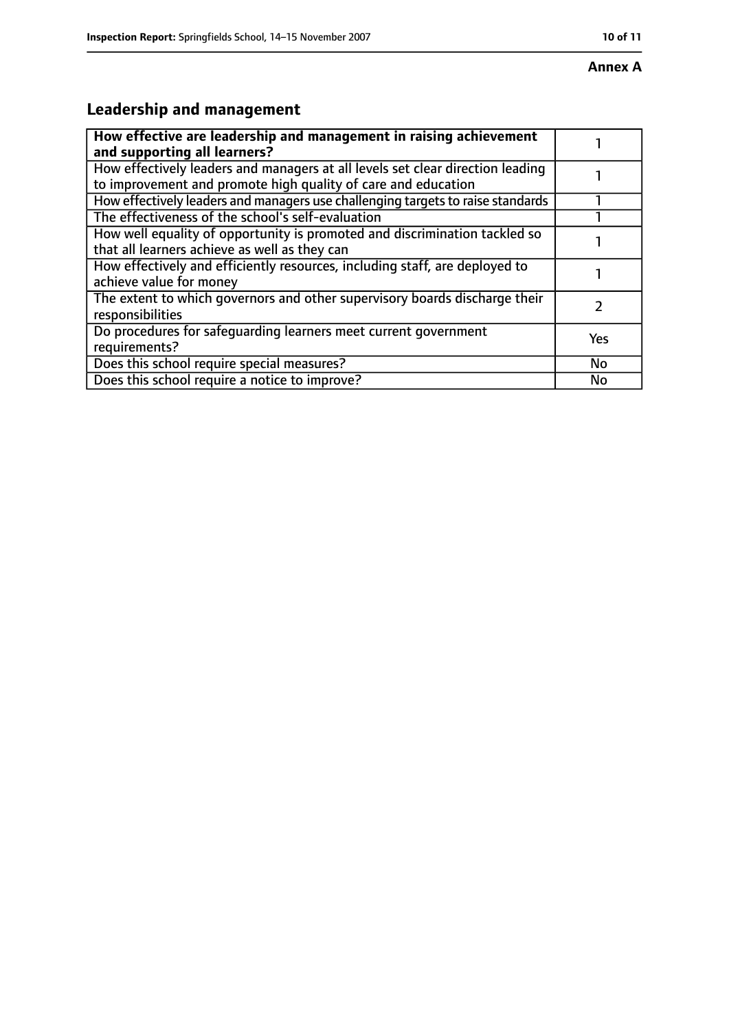# **Leadership and management**

| How effective are leadership and management in raising achievement<br>and supporting all learners?                                              |           |
|-------------------------------------------------------------------------------------------------------------------------------------------------|-----------|
| How effectively leaders and managers at all levels set clear direction leading<br>to improvement and promote high quality of care and education |           |
| How effectively leaders and managers use challenging targets to raise standards                                                                 |           |
| The effectiveness of the school's self-evaluation                                                                                               |           |
| How well equality of opportunity is promoted and discrimination tackled so<br>that all learners achieve as well as they can                     |           |
| How effectively and efficiently resources, including staff, are deployed to<br>achieve value for money                                          |           |
| The extent to which governors and other supervisory boards discharge their<br>responsibilities                                                  |           |
| Do procedures for safequarding learners meet current government<br>requirements?                                                                | Yes       |
| Does this school require special measures?                                                                                                      | <b>No</b> |
| Does this school require a notice to improve?                                                                                                   | No        |